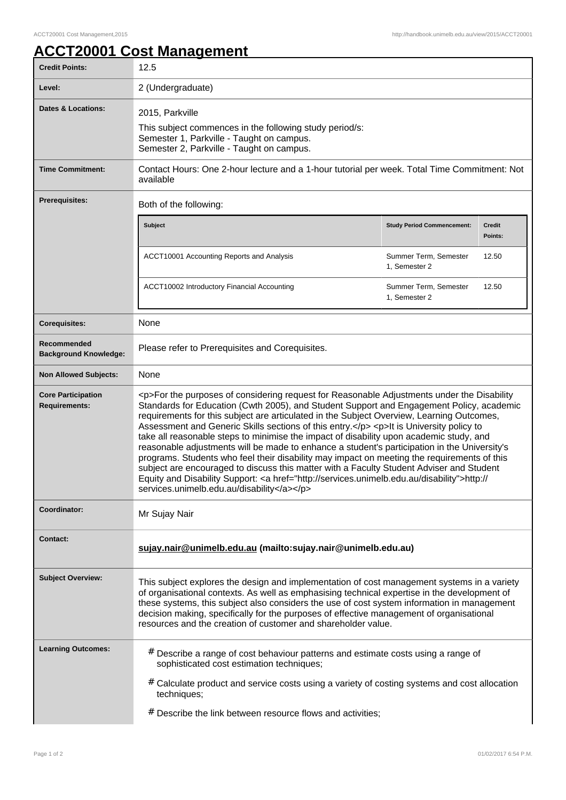## **ACCT20001 Cost Management**

| <b>Credit Points:</b>                             | 12.5                                                                                                                                                                                                                                                                                                                                                                                                                                                                                                                                                                                                                                                                                                                                                                                                                                                                                                                         |                                        |                          |
|---------------------------------------------------|------------------------------------------------------------------------------------------------------------------------------------------------------------------------------------------------------------------------------------------------------------------------------------------------------------------------------------------------------------------------------------------------------------------------------------------------------------------------------------------------------------------------------------------------------------------------------------------------------------------------------------------------------------------------------------------------------------------------------------------------------------------------------------------------------------------------------------------------------------------------------------------------------------------------------|----------------------------------------|--------------------------|
| Level:                                            | 2 (Undergraduate)                                                                                                                                                                                                                                                                                                                                                                                                                                                                                                                                                                                                                                                                                                                                                                                                                                                                                                            |                                        |                          |
| <b>Dates &amp; Locations:</b>                     | 2015, Parkville<br>This subject commences in the following study period/s:<br>Semester 1, Parkville - Taught on campus.<br>Semester 2, Parkville - Taught on campus.                                                                                                                                                                                                                                                                                                                                                                                                                                                                                                                                                                                                                                                                                                                                                         |                                        |                          |
| <b>Time Commitment:</b>                           | Contact Hours: One 2-hour lecture and a 1-hour tutorial per week. Total Time Commitment: Not<br>available                                                                                                                                                                                                                                                                                                                                                                                                                                                                                                                                                                                                                                                                                                                                                                                                                    |                                        |                          |
| <b>Prerequisites:</b>                             | Both of the following:                                                                                                                                                                                                                                                                                                                                                                                                                                                                                                                                                                                                                                                                                                                                                                                                                                                                                                       |                                        |                          |
|                                                   | <b>Subject</b>                                                                                                                                                                                                                                                                                                                                                                                                                                                                                                                                                                                                                                                                                                                                                                                                                                                                                                               | <b>Study Period Commencement:</b>      | <b>Credit</b><br>Points: |
|                                                   | ACCT10001 Accounting Reports and Analysis                                                                                                                                                                                                                                                                                                                                                                                                                                                                                                                                                                                                                                                                                                                                                                                                                                                                                    | Summer Term, Semester<br>1, Semester 2 | 12.50                    |
|                                                   | ACCT10002 Introductory Financial Accounting                                                                                                                                                                                                                                                                                                                                                                                                                                                                                                                                                                                                                                                                                                                                                                                                                                                                                  | Summer Term, Semester<br>1, Semester 2 | 12.50                    |
| <b>Corequisites:</b>                              | None                                                                                                                                                                                                                                                                                                                                                                                                                                                                                                                                                                                                                                                                                                                                                                                                                                                                                                                         |                                        |                          |
| Recommended<br><b>Background Knowledge:</b>       | Please refer to Prerequisites and Corequisites.                                                                                                                                                                                                                                                                                                                                                                                                                                                                                                                                                                                                                                                                                                                                                                                                                                                                              |                                        |                          |
| <b>Non Allowed Subjects:</b>                      | None                                                                                                                                                                                                                                                                                                                                                                                                                                                                                                                                                                                                                                                                                                                                                                                                                                                                                                                         |                                        |                          |
| <b>Core Participation</b><br><b>Requirements:</b> | <p>For the purposes of considering request for Reasonable Adjustments under the Disability<br/>Standards for Education (Cwth 2005), and Student Support and Engagement Policy, academic<br/>requirements for this subject are articulated in the Subject Overview, Learning Outcomes,<br/>Assessment and Generic Skills sections of this entry.</p> <p>lt is University policy to<br/>take all reasonable steps to minimise the impact of disability upon academic study, and<br/>reasonable adjustments will be made to enhance a student's participation in the University's<br/>programs. Students who feel their disability may impact on meeting the requirements of this<br/>subject are encouraged to discuss this matter with a Faculty Student Adviser and Student<br/>Equity and Disability Support: &lt; a href="http://services.unimelb.edu.au/disability"&gt;http://<br/>services.unimelb.edu.au/disability</p> |                                        |                          |
| Coordinator:                                      | Mr Sujay Nair                                                                                                                                                                                                                                                                                                                                                                                                                                                                                                                                                                                                                                                                                                                                                                                                                                                                                                                |                                        |                          |
| <b>Contact:</b>                                   | sujay.nair@unimelb.edu.au (mailto:sujay.nair@unimelb.edu.au)                                                                                                                                                                                                                                                                                                                                                                                                                                                                                                                                                                                                                                                                                                                                                                                                                                                                 |                                        |                          |
| <b>Subject Overview:</b>                          | This subject explores the design and implementation of cost management systems in a variety<br>of organisational contexts. As well as emphasising technical expertise in the development of<br>these systems, this subject also considers the use of cost system information in management<br>decision making, specifically for the purposes of effective management of organisational<br>resources and the creation of customer and shareholder value.                                                                                                                                                                                                                                                                                                                                                                                                                                                                      |                                        |                          |
| <b>Learning Outcomes:</b>                         | # Describe a range of cost behaviour patterns and estimate costs using a range of<br>sophisticated cost estimation techniques;<br># Calculate product and service costs using a variety of costing systems and cost allocation<br>techniques;<br>$#$ Describe the link between resource flows and activities;                                                                                                                                                                                                                                                                                                                                                                                                                                                                                                                                                                                                                |                                        |                          |